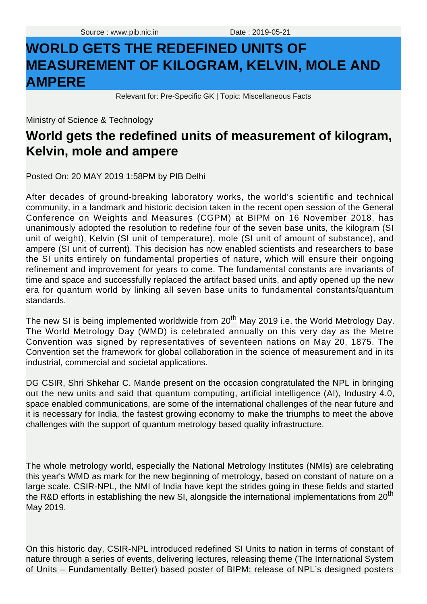## **WORLD GETS THE REDEFINED UNITS OF MEASUREMENT OF KILOGRAM, KELVIN, MOLE AND AMPERE**

Relevant for: Pre-Specific GK | Topic: Miscellaneous Facts

Ministry of Science & Technology

## **World gets the redefined units of measurement of kilogram, Kelvin, mole and ampere**

Posted On: 20 MAY 2019 1:58PM by PIB Delhi

Ministry of Science & Technology<br>**World gets the redefined units of measurement of kilogram,**<br>**Kelvin, mole and ampere**<br>Posted On: 20 MAY 2019 1:58PM by PIB Delhi<br>and the scenario works, the world's scientific and technic After decades of ground-breaking laboratory works, the world's scientific and technical community, in a landmark and historic decision taken in the recent open session of the General Conference on Weights and Measures (CGPM) at BIPM on 16 November 2018, has unanimously adopted the resolution to redefine four of the seven base units, the kilogram (SI unit of weight), Kelvin (SI unit of temperature), mole (SI unit of amount of substance), and ampere (SI unit of current). This decision has now enabled scientists and researchers to base the SI units entirely on fundamental properties of nature, which will ensure their ongoing refinement and improvement for years to come. The fundamental constants are invariants of time and space and successfully replaced the artifact based units, and aptly opened up the new era for quantum world by linking all seven base units to fundamental constants/quantum standards.

The new SI is being implemented worldwide from 20<sup>th</sup> May 2019 i.e. the World Metrology Day. The World Metrology Day (WMD) is celebrated annually on this very day as the Metre Convention was signed by representatives of seventeen nations on May 20, 1875. The Convention set the framework for global collaboration in the science of measurement and in its industrial, commercial and societal applications.

DG CSIR, Shri Shkehar C. Mande present on the occasion congratulated the NPL in bringing out the new units and said that quantum computing, artificial intelligence (AI), Industry 4.0, space enabled communications, are some of the international challenges of the near future and it is necessary for India, the fastest growing economy to make the triumphs to meet the above challenges with the support of quantum metrology based quality infrastructure.

The whole metrology world, especially the National Metrology Institutes (NMIs) are celebrating this year's WMD as mark for the new beginning of metrology, based on constant of nature on a large scale. CSIR-NPL, the NMI of India have kept the strides going in these fields and started the R&D efforts in establishing the new SI, alongside the international implementations from  $20<sup>th</sup>$ May 2019.

On this historic day, CSIR-NPL introduced redefined SI Units to nation in terms of constant of nature through a series of events, delivering lectures, releasing theme (The International System of Units – Fundamentally Better) based poster of BIPM; release of NPL's designed posters